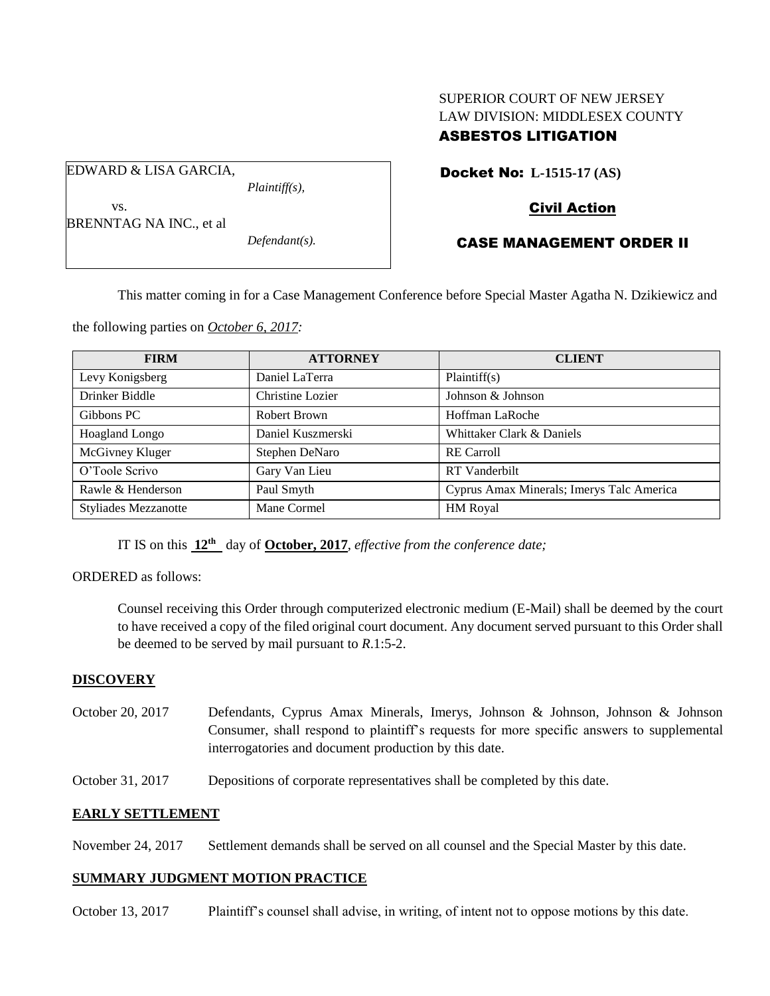# SUPERIOR COURT OF NEW JERSEY LAW DIVISION: MIDDLESEX COUNTY ASBESTOS LITIGATION

Docket No: **L-1515-17 (AS)** 

## Civil Action

| <b>BRENNTAG NA INC., et al</b> |                                                    |  |
|--------------------------------|----------------------------------------------------|--|
|                                | $D_0 f_{\alpha\alpha} J_{\alpha\alpha} f_{\alpha}$ |  |

*Defendant(s).*

*Plaintiff(s),*

## CASE MANAGEMENT ORDER II

This matter coming in for a Case Management Conference before Special Master Agatha N. Dzikiewicz and

the following parties on *October 6, 2017:*

EDWARD & LISA GARCIA,

vs.

| <b>FIRM</b>                 | <b>ATTORNEY</b>   | <b>CLIENT</b>                             |
|-----------------------------|-------------------|-------------------------------------------|
| Levy Konigsberg             | Daniel LaTerra    | Plaintiff(s)                              |
| Drinker Biddle              | Christine Lozier  | Johnson & Johnson                         |
| Gibbons PC                  | Robert Brown      | Hoffman LaRoche                           |
| Hoagland Longo              | Daniel Kuszmerski | Whittaker Clark & Daniels                 |
| McGivney Kluger             | Stephen DeNaro    | <b>RE</b> Carroll                         |
| O'Toole Scrivo              | Gary Van Lieu     | RT Vanderbilt                             |
| Rawle & Henderson           | Paul Smyth        | Cyprus Amax Minerals; Imerys Talc America |
| <b>Styliades Mezzanotte</b> | Mane Cormel       | HM Royal                                  |

IT IS on this **12th** day of **October, 2017**, *effective from the conference date;*

#### ORDERED as follows:

Counsel receiving this Order through computerized electronic medium (E-Mail) shall be deemed by the court to have received a copy of the filed original court document. Any document served pursuant to this Order shall be deemed to be served by mail pursuant to *R*.1:5-2.

#### **DISCOVERY**

- October 20, 2017 Defendants, Cyprus Amax Minerals, Imerys, Johnson & Johnson, Johnson & Johnson Consumer, shall respond to plaintiff's requests for more specific answers to supplemental interrogatories and document production by this date.
- October 31, 2017 Depositions of corporate representatives shall be completed by this date.

#### **EARLY SETTLEMENT**

November 24, 2017 Settlement demands shall be served on all counsel and the Special Master by this date.

#### **SUMMARY JUDGMENT MOTION PRACTICE**

October 13, 2017 Plaintiff's counsel shall advise, in writing, of intent not to oppose motions by this date.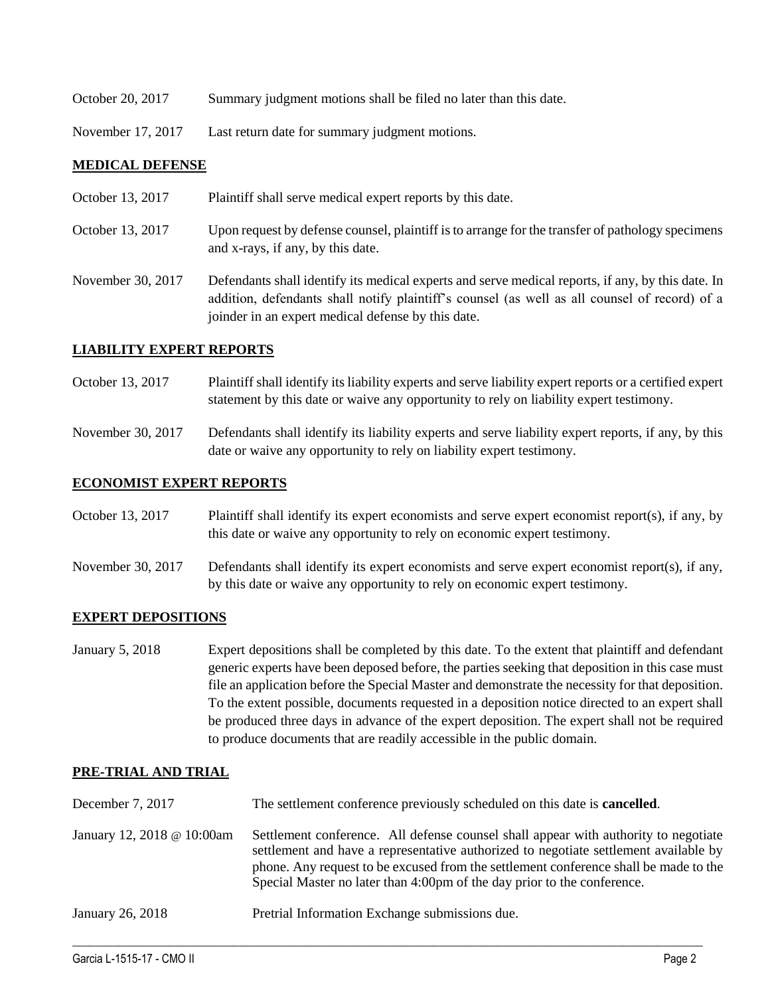- October 20, 2017 Summary judgment motions shall be filed no later than this date.
- November 17, 2017 Last return date for summary judgment motions.

### **MEDICAL DEFENSE**

| October 13, 2017  | Plaintiff shall serve medical expert reports by this date.                                                                                                                                                                                               |
|-------------------|----------------------------------------------------------------------------------------------------------------------------------------------------------------------------------------------------------------------------------------------------------|
| October 13, 2017  | Upon request by defense counsel, plaintiff is to arrange for the transfer of pathology specimens<br>and x-rays, if any, by this date.                                                                                                                    |
| November 30, 2017 | Defendants shall identify its medical experts and serve medical reports, if any, by this date. In<br>addition, defendants shall notify plaintiff's counsel (as well as all counsel of record) of a<br>joinder in an expert medical defense by this date. |

### **LIABILITY EXPERT REPORTS**

October 13, 2017 Plaintiff shall identify its liability experts and serve liability expert reports or a certified expert statement by this date or waive any opportunity to rely on liability expert testimony.

November 30, 2017 Defendants shall identify its liability experts and serve liability expert reports, if any, by this date or waive any opportunity to rely on liability expert testimony.

### **ECONOMIST EXPERT REPORTS**

October 13, 2017 Plaintiff shall identify its expert economists and serve expert economist report(s), if any, by this date or waive any opportunity to rely on economic expert testimony.

November 30, 2017 Defendants shall identify its expert economists and serve expert economist report(s), if any, by this date or waive any opportunity to rely on economic expert testimony.

#### **EXPERT DEPOSITIONS**

January 5, 2018 Expert depositions shall be completed by this date. To the extent that plaintiff and defendant generic experts have been deposed before, the parties seeking that deposition in this case must file an application before the Special Master and demonstrate the necessity for that deposition. To the extent possible, documents requested in a deposition notice directed to an expert shall be produced three days in advance of the expert deposition. The expert shall not be required to produce documents that are readily accessible in the public domain.

## **PRE-TRIAL AND TRIAL**

| December 7, 2017           | The settlement conference previously scheduled on this date is <b>cancelled</b> .                                                                                                                                                                                                                                                              |
|----------------------------|------------------------------------------------------------------------------------------------------------------------------------------------------------------------------------------------------------------------------------------------------------------------------------------------------------------------------------------------|
| January 12, 2018 @ 10:00am | Settlement conference. All defense counsel shall appear with authority to negotiate<br>settlement and have a representative authorized to negotiate settlement available by<br>phone. Any request to be excused from the settlement conference shall be made to the<br>Special Master no later than 4:00pm of the day prior to the conference. |
| January 26, 2018           | Pretrial Information Exchange submissions due.                                                                                                                                                                                                                                                                                                 |